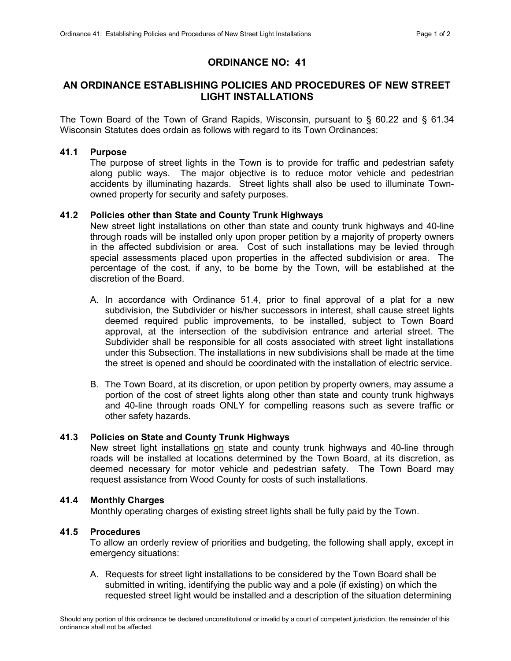# ORDINANCE NO: 41

# AN ORDINANCE ESTABLISHING POLICIES AND PROCEDURES OF NEW STREET LIGHT INSTALLATIONS

The Town Board of the Town of Grand Rapids, Wisconsin, pursuant to § 60.22 and § 61.34 Wisconsin Statutes does ordain as follows with regard to its Town Ordinances:

# 41.1 Purpose

 The purpose of street lights in the Town is to provide for traffic and pedestrian safety along public ways. The major objective is to reduce motor vehicle and pedestrian accidents by illuminating hazards. Street lights shall also be used to illuminate Townowned property for security and safety purposes.

# 41.2 Policies other than State and County Trunk Highways

 New street light installations on other than state and county trunk highways and 40-line through roads will be installed only upon proper petition by a majority of property owners in the affected subdivision or area. Cost of such installations may be levied through special assessments placed upon properties in the affected subdivision or area. The percentage of the cost, if any, to be borne by the Town, will be established at the discretion of the Board.

- A. In accordance with Ordinance 51.4, prior to final approval of a plat for a new subdivision, the Subdivider or his/her successors in interest, shall cause street lights deemed required public improvements, to be installed, subject to Town Board approval, at the intersection of the subdivision entrance and arterial street. The Subdivider shall be responsible for all costs associated with street light installations under this Subsection. The installations in new subdivisions shall be made at the time the street is opened and should be coordinated with the installation of electric service.
- B. The Town Board, at its discretion, or upon petition by property owners, may assume a portion of the cost of street lights along other than state and county trunk highways and 40-line through roads ONLY for compelling reasons such as severe traffic or other safety hazards.

### 41.3 Policies on State and County Trunk Highways

 New street light installations on state and county trunk highways and 40-line through roads will be installed at locations determined by the Town Board, at its discretion, as deemed necessary for motor vehicle and pedestrian safety. The Town Board may request assistance from Wood County for costs of such installations.

# 41.4 Monthly Charges

Monthly operating charges of existing street lights shall be fully paid by the Town.

### 41.5 Procedures

 To allow an orderly review of priorities and budgeting, the following shall apply, except in emergency situations:

A. Requests for street light installations to be considered by the Town Board shall be submitted in writing, identifying the public way and a pole (if existing) on which the requested street light would be installed and a description of the situation determining